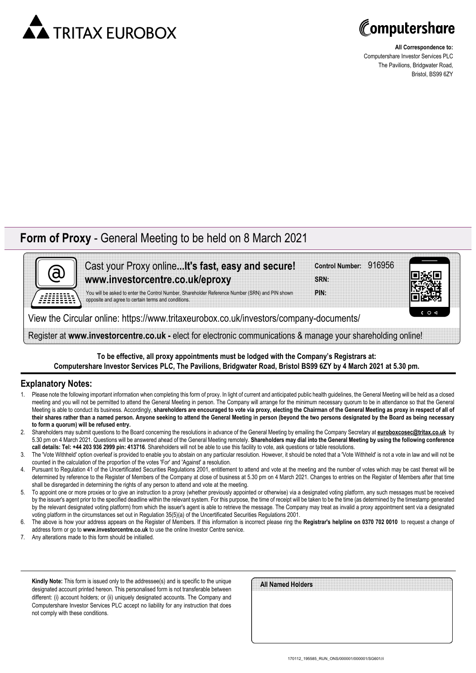



**All Correspondence to:** Computershare Investor Services PLC The Pavilions, Bridgwater Road, Bristol, BS99 6ZY

## **Form of Proxy** - General Meeting to be held on 8 March 2021



Cast your Proxy online**...It's fast, easy and secure! www.investorcentre.co.uk/eproxy**

**SRN: Control Number:** 916956

**PIN:**



You will be asked to enter the Control Number, Shareholder Reference Number (SRN) and PIN shown opposite and agree to certain terms and conditions.

View the Circular online: https://www.tritaxeurobox.co.uk/investors/company-documents/

Register at **www.investorcentre.co.uk -** elect for electronic communications & manage your shareholding online!

**To be effective, all proxy appointments must be lodged with the Company's Registrars at: Computershare Investor Services PLC, The Pavilions, Bridgwater Road, Bristol BS99 6ZY by 4 March 2021 at 5.30 pm.**

## **Explanatory Notes:**

- Please note the following important information when completing this form of proxy. In light of current and anticipated public health guidelines, the General Meeting will be held as a closed meeting and you will not be permitted to attend the General Meeting in person. The Company will arrange for the minimum necessary quorum to be in attendance so that the General Meeting is able to conduct its business. Accordingly, **shareholders are encouraged to vote via proxy, electing the Chairman of the General Meeting as proxy in respect of all of their shares rather than a named person. Anyone seeking to attend the General Meeting in person (beyond the two persons designated by the Board as being necessary to form a quorum) will be refused entry.**
- 2. Shareholders may submit questions to the Board concerning the resolutions in advance of the General Meeting by emailing the Company Secretary at **euroboxcosec@tritax.co.uk** by 5.30 pm on 4 March 2021. Questions will be answered ahead of the General Meeting remotely. **Shareholders may dial into the General Meeting by using the following conference call details: Tel: +44 203 936 2999 pin: 413716**. Shareholders will not be able to use this facility to vote, ask questions or table resolutions.
- 3. The 'Vote Withheld' option overleaf is provided to enable you to abstain on any particular resolution. However, it should be noted that a 'Vote Withheld' is not a vote in law and will not be counted in the calculation of the proportion of the votes 'For' and 'Against' a resolution.
- 4. Pursuant to Regulation 41 of the Uncertificated Securities Regulations 2001, entitlement to attend and vote at the meeting and the number of votes which may be cast thereat will be determined by reference to the Register of Members of the Company at close of business at 5.30 pm on 4 March 2021. Changes to entries on the Register of Members after that time shall be disregarded in determining the rights of any person to attend and vote at the meeting.
- 5. To appoint one or more proxies or to give an instruction to a proxy (whether previously appointed or otherwise) via a designated voting platform, any such messages must be received by the issuer's agent prior to the specified deadline within the relevant system. For this purpose, the time of receipt will be taken to be the time (as determined by the timestamp generated by the relevant designated voting platform) from which the issuer's agent is able to retrieve the message. The Company may treat as invalid a proxy appointment sent via a designated voting platform in the circumstances set out in Regulation 35(5)(a) of the Uncertificated Securities Regulations 2001.
- 6. The above is how your address appears on the Register of Members. If this information is incorrect please ring the **Registrar's helpline on 0370 702 0010** to request a change of address form or go to **www.investorcentre.co.uk** to use the online Investor Centre service.
- 7. Any alterations made to this form should be initialled.

**Kindly Note:** This form is issued only to the addressee(s) and is specific to the unique designated account printed hereon. This personalised form is not transferable between different: (i) account holders; or (ii) uniquely designated accounts. The Company and Computershare Investor Services PLC accept no liability for any instruction that does not comply with these conditions.

| All Named Holders |  |  |  |
|-------------------|--|--|--|
|                   |  |  |  |
|                   |  |  |  |
|                   |  |  |  |